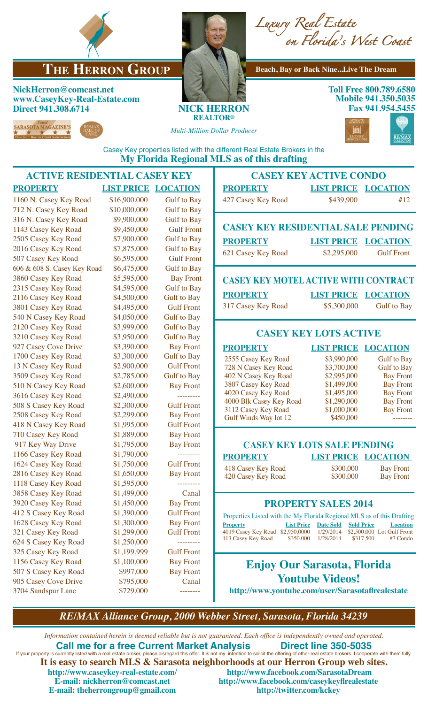

# **THE HERRON GROUP** Beach, Bay or Back Nine...Live The Dream

### **NickHerron@comcast.net www.CaseyKey-Real-Estate.com Direct 941.308.6714 NICK HERRON**

*Multi-Million Dollar Producer*



**Toll Free 800.789.6580 Mobile 941.350.5035 Fax 941.954.5455**



**REALTOR®**



Casey Key properties listed with the different Real Estate Brokers in the **My Florida Regional MLS as of this drafting**

#### **ACTIVE RESIDENTIAL CASEY KEY PROPERTY LIST PRICE LOCATION** 1160 N. Casey Key Road \$16,900,000 Gulf to Bay 712 N. Casey Key Road \$10,000,000 Gulf to Bay 316 N. Casey Key Road \$9,900,000 Gulf to Bay 1143 Casey Key Road \$9,450,000 Gulf Front 2505 Casey Key Road \$7,900,000 Gulf to Bay 2016 Casey Key Road \$7,875,000 Gulf to Bay 507 Casey Key Road \$6,595,000 Gulf Front 606 & 608 S. Casey Key Road \$6,475,000 Gulf to Bay 3860 Casey Key Road \$5,595,000 Bay Front 2315 Casey Key Road \$4,595,000 Gulf to Bay 2116 Casey Key Road \$4,500,000 Gulf to Bay 3801 Casey Key Road \$4,495,000 Gulf Front 540 N Casey Key Road \$4,050,000 Gulf to Bay 2120 Casey Key Road \$3,999,000 Gulf to Bay 3210 Casey Key Road \$3,950,000 Gulf to Bay 927 Casey Cove Drive \$3,390,000 Bay Front 1700 Casey Key Road \$3,300,000 Gulf to Bay 13 N Casey Key Road \$2,900,000 Gulf Front 3509 Casey Key Road \$2,785,000 Gulf to Bay 510 N Casey Key Road  $$2,600,000$  Bay Front 3616 Casey Key Road \$2,490,000 ----------508 S Casey Key Road \$2,300,000 Gulf Front 2508 Casey Key Road \$2,299,000 Bay Front 418 N Casey Key Road \$1,995,000 Gulf Front 110 Casey Key Road \$1,889,000 Bay Front<br>
917 Key Way Drive \$1,795,000 Bay Front 917 Key Way Drive \$1,795,000 1166 Casey Key Road \$1,790,000 ----------1624 Casey Key Road \$1,750,000 Gulf Front 2816 Casey Key Road \$1,650,000 Bay Front 1118 Casey Key Road \$1,595,000 ----------3858 Casey Key Road \$1,499,000 Canal 3920 Casey Key Road \$1,450,000 Bay Front 412 S Casey Key Road \$1,390,000 Gulf Front 1628 Casey Key Road \$1,300,000 Bay Front 321 Casey Key Road \$1,299,000 Gulf Front 624 S Casey Key Road \$1,250,000 ----------325 Casey Key Road \$1,199,999 Gulf Front 1156 Casey Key Road \$1,100,000 Bay Front 507 S Casey Key Road \$997,000 Bay Front 905 Casey Cove Drive \$795,000 Canal 3704 Sandspur Lane \$729,000 **CASEY KEY ACTIVE CONDO PROPERTY LIST PRICE LOCATION** 427 Casey Key Road \$439,900 #12 **CASEY KEY RESIDENTIAL SALE PENDING PROPERTY LIST PRICE LOCATION**  621 Casey Key Road \$2,295,000 Gulf Front **CASEY KEY MOTEL ACTIVE WITH CONTRACT PROPERTY LIST PRICE LOCATION** 317 Casey Key Road \$5,300,000 Gulf to Bay **CASEY KEY LOTS ACTIVE PROPERTY LIST PRICE LOCATION** 2555 Casey Key Road \$3,990,000 Gulf to Bay 728 N Casey Key Road \$3,700,000 Gulf to Bay<br>402 N Casey Key Road \$2,995,000 Bay Front 402 N Casey Key Road 3807 Casey Key Road \$1,499,000 Bay Front<br>4020 Casey Key Road \$1,495,000 Bay Front 4020 Casey Key Road \$1,495,000 Bay Front<br>4000 Blk Casey Key Road \$1,290,000 Bay Front 4000 Blk Casey Key Road 3112 Casey Key Road \$1,000,000 Bay Front<br>
Gulf Winds Way lot 12 \$450,000 --------Gulf Winds Way lot 12 \$450,000 --------**CASEY KEY LOTS SALE PENDING PROPERTY LIST PRICE LOCATION**  418 Casey Key Road \$300,000 Bay Front<br>420 Casey Key Road \$300,000 Bay Front 420 Casey Key Road **PROPERTY SALES 2014** Properties Listed with the My Florida Regional MLS as of this Drafting **Property List Price Date Sold Sold Price Location** 4019 Casey Key Road  $$2,950,0000$   $1/29/2014$   $$2,500,000$  Lot Gulf Front 113 Casey Key Road  $$350,000$   $1/28/2014$   $$317,500$   $#7$  Condo 113 Casey Key Road \$350,000 1/28/2014 \$317,500 #7 Condo **Enjoy Our Sarasota, Florida Youtube Videos! http://www.youtube.com/user/Sarasotaflrealestate**

*RE/MAX Alliance Group, 2000 Webber Street, Sarasota, Florida 34239*

*Information contained herein is deemed reliable but is not guaranteed. Each office is independently owned and operated.* **Call me for a free Current Market Analysis Direct line 350-5035** If your property is currently listed with a real estate broker, please disregard this offer. It is not my intention to solicit the offering of other real estate brokers. I cooperate with them fully. **It is easy to search MLS & Sarasota neighborhoods at our Herron Group web sites. http://www.caseykey-real-estate.com/ http://www.facebook.com/SarasotaDream**  $http://www.facebook.com/caseykeyffrealestate$ **E-mail: theherrongroup@gmail.com http://twitter.com/kckey**